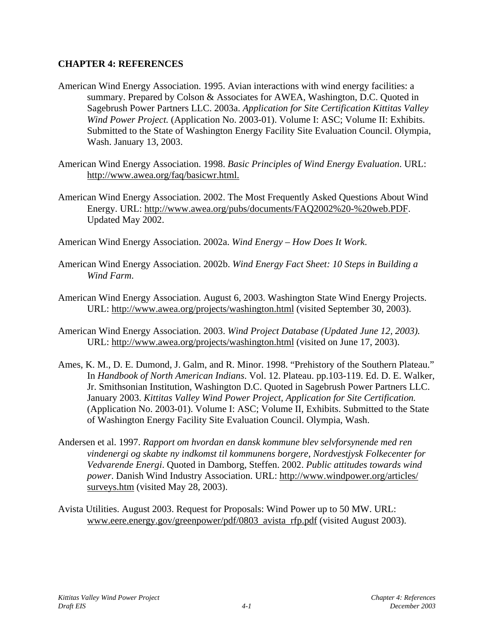## **CHAPTER 4: REFERENCES**

- American Wind Energy Association. 1995. Avian interactions with wind energy facilities: a summary. Prepared by Colson & Associates for AWEA, Washington, D.C. Quoted in Sagebrush Power Partners LLC. 2003a. *Application for Site Certification Kittitas Valley Wind Power Project.* (Application No. 2003-01). Volume I: ASC; Volume II: Exhibits. Submitted to the State of Washington Energy Facility Site Evaluation Council. Olympia, Wash. January 13, 2003.
- American Wind Energy Association. 1998. *Basic Principles of Wind Energy Evaluation*. URL: http://www.awea.org/faq/basicwr.html.
- American Wind Energy Association. 2002. The Most Frequently Asked Questions About Wind Energy. URL: http://www.awea.org/pubs/documents/FAQ2002%20-%20web.PDF. Updated May 2002.
- American Wind Energy Association. 2002a. *Wind Energy How Does It Work*.
- American Wind Energy Association. 2002b. *Wind Energy Fact Sheet: 10 Steps in Building a Wind Farm*.
- American Wind Energy Association. August 6, 2003. Washington State Wind Energy Projects. URL: http://www.awea.org/projects/washington.html (visited September 30, 2003).
- American Wind Energy Association. 2003. *Wind Project Database (Updated June 12, 2003).* URL: http://www.awea.org/projects/washington.html (visited on June 17, 2003).
- Ames, K. M., D. E. Dumond, J. Galm, and R. Minor. 1998. "Prehistory of the Southern Plateau." In *Handbook of North American Indians*. Vol. 12. Plateau. pp.103-119. Ed. D. E. Walker, Jr. Smithsonian Institution, Washington D.C. Quoted in Sagebrush Power Partners LLC. January 2003. *Kittitas Valley Wind Power Project, Application for Site Certification.* (Application No. 2003-01). Volume I: ASC; Volume II, Exhibits. Submitted to the State of Washington Energy Facility Site Evaluation Council. Olympia, Wash.
- Andersen et al. 1997. *Rapport om hvordan en dansk kommune blev selvforsynende med ren vindenergi og skabte ny indkomst til kommunens borgere, Nordvestjysk Folkecenter for Vedvarende Energi*. Quoted in Damborg, Steffen. 2002. *Public attitudes towards wind power*. Danish Wind Industry Association. URL: http://www.windpower.org/articles/ surveys.htm (visited May 28, 2003).
- Avista Utilities. August 2003. Request for Proposals: Wind Power up to 50 MW. URL: www.eere.energy.gov/greenpower/pdf/0803 avista rfp.pdf (visited August 2003).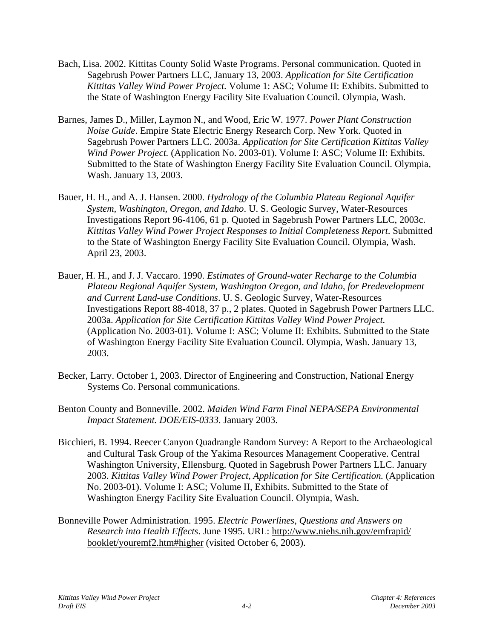- Bach, Lisa. 2002. Kittitas County Solid Waste Programs. Personal communication. Quoted in Sagebrush Power Partners LLC, January 13, 2003. *Application for Site Certification Kittitas Valley Wind Power Project.* Volume 1: ASC; Volume II: Exhibits. Submitted to the State of Washington Energy Facility Site Evaluation Council. Olympia, Wash.
- Barnes, James D., Miller, Laymon N., and Wood, Eric W. 1977. *Power Plant Construction Noise Guide*. Empire State Electric Energy Research Corp. New York. Quoted in Sagebrush Power Partners LLC. 2003a. *Application for Site Certification Kittitas Valley Wind Power Project.* (Application No. 2003-01). Volume I: ASC; Volume II: Exhibits. Submitted to the State of Washington Energy Facility Site Evaluation Council. Olympia, Wash. January 13, 2003.
- Bauer, H. H., and A. J. Hansen. 2000. *Hydrology of the Columbia Plateau Regional Aquifer System, Washington, Oregon, and Idaho*. U. S. Geologic Survey, Water-Resources Investigations Report 96-4106, 61 p. Quoted in Sagebrush Power Partners LLC, 2003c. *Kittitas Valley Wind Power Project Responses to Initial Completeness Report*. Submitted to the State of Washington Energy Facility Site Evaluation Council. Olympia, Wash. April 23, 2003.
- Bauer, H. H., and J. J. Vaccaro. 1990. *Estimates of Ground-water Recharge to the Columbia Plateau Regional Aquifer System, Washington Oregon, and Idaho, for Predevelopment and Current Land-use Conditions*. U. S. Geologic Survey, Water-Resources Investigations Report 88-4018, 37 p., 2 plates. Quoted in Sagebrush Power Partners LLC. 2003a. *Application for Site Certification Kittitas Valley Wind Power Project.* (Application No. 2003-01). Volume I: ASC; Volume II: Exhibits. Submitted to the State of Washington Energy Facility Site Evaluation Council. Olympia, Wash. January 13, 2003.
- Becker, Larry. October 1, 2003. Director of Engineering and Construction, National Energy Systems Co. Personal communications.
- Benton County and Bonneville. 2002. *Maiden Wind Farm Final NEPA/SEPA Environmental Impact Statement. DOE/EIS-0333*. January 2003.
- Bicchieri, B. 1994. Reecer Canyon Quadrangle Random Survey: A Report to the Archaeological and Cultural Task Group of the Yakima Resources Management Cooperative. Central Washington University, Ellensburg. Quoted in Sagebrush Power Partners LLC. January 2003. *Kittitas Valley Wind Power Project, Application for Site Certification.* (Application No. 2003-01). Volume I: ASC; Volume II, Exhibits. Submitted to the State of Washington Energy Facility Site Evaluation Council. Olympia, Wash.
- Bonneville Power Administration. 1995. *Electric Powerlines, Questions and Answers on Research into Health Effects*. June 1995. URL: http://www.niehs.nih.gov/emfrapid/ booklet/youremf2.htm#higher (visited October 6, 2003).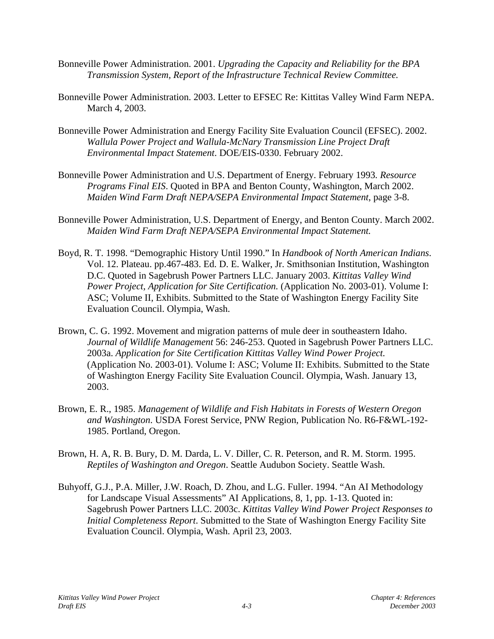- Bonneville Power Administration. 2001. *Upgrading the Capacity and Reliability for the BPA Transmission System, Report of the Infrastructure Technical Review Committee.*
- Bonneville Power Administration. 2003. Letter to EFSEC Re: Kittitas Valley Wind Farm NEPA. March 4, 2003.
- Bonneville Power Administration and Energy Facility Site Evaluation Council (EFSEC). 2002. *Wallula Power Project and Wallula-McNary Transmission Line Project Draft Environmental Impact Statement*. DOE/EIS-0330. February 2002.
- Bonneville Power Administration and U.S. Department of Energy. February 1993*. Resource Programs Final EIS*. Quoted in BPA and Benton County, Washington, March 2002. *Maiden Wind Farm Draft NEPA/SEPA Environmental Impact Statement*, page 3-8.
- Bonneville Power Administration, U.S. Department of Energy, and Benton County. March 2002. *Maiden Wind Farm Draft NEPA/SEPA Environmental Impact Statement.*
- Boyd, R. T. 1998. "Demographic History Until 1990." In *Handbook of North American Indians*. Vol. 12. Plateau. pp.467-483. Ed. D. E. Walker, Jr. Smithsonian Institution, Washington D.C. Quoted in Sagebrush Power Partners LLC. January 2003. *Kittitas Valley Wind Power Project, Application for Site Certification.* (Application No. 2003-01). Volume I: ASC; Volume II, Exhibits. Submitted to the State of Washington Energy Facility Site Evaluation Council. Olympia, Wash.
- Brown, C. G. 1992. Movement and migration patterns of mule deer in southeastern Idaho. *Journal of Wildlife Management* 56: 246-253. Quoted in Sagebrush Power Partners LLC. 2003a. *Application for Site Certification Kittitas Valley Wind Power Project.* (Application No. 2003-01). Volume I: ASC; Volume II: Exhibits. Submitted to the State of Washington Energy Facility Site Evaluation Council. Olympia, Wash. January 13, 2003.
- Brown, E. R., 1985. *Management of Wildlife and Fish Habitats in Forests of Western Oregon and Washington*. USDA Forest Service, PNW Region, Publication No. R6-F&WL-192- 1985. Portland, Oregon.
- Brown, H. A, R. B. Bury, D. M. Darda, L. V. Diller, C. R. Peterson, and R. M. Storm. 1995. *Reptiles of Washington and Oregon*. Seattle Audubon Society. Seattle Wash.
- Buhyoff, G.J., P.A. Miller, J.W. Roach, D. Zhou, and L.G. Fuller. 1994. "An AI Methodology for Landscape Visual Assessments" AI Applications, 8, 1, pp. 1-13. Quoted in: Sagebrush Power Partners LLC. 2003c. *Kittitas Valley Wind Power Project Responses to Initial Completeness Report*. Submitted to the State of Washington Energy Facility Site Evaluation Council. Olympia, Wash. April 23, 2003.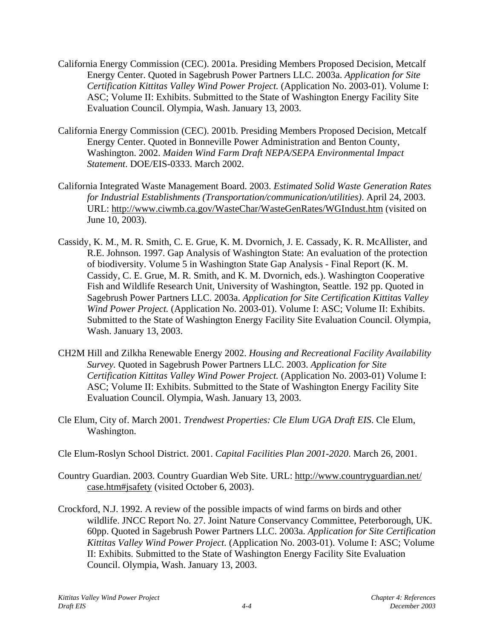- California Energy Commission (CEC). 2001a. Presiding Members Proposed Decision, Metcalf Energy Center. Quoted in Sagebrush Power Partners LLC. 2003a. *Application for Site Certification Kittitas Valley Wind Power Project.* (Application No. 2003-01). Volume I: ASC; Volume II: Exhibits. Submitted to the State of Washington Energy Facility Site Evaluation Council. Olympia, Wash. January 13, 2003.
- California Energy Commission (CEC). 2001b. Presiding Members Proposed Decision, Metcalf Energy Center. Quoted in Bonneville Power Administration and Benton County, Washington. 2002. *Maiden Wind Farm Draft NEPA/SEPA Environmental Impact Statement*. DOE/EIS-0333. March 2002.
- California Integrated Waste Management Board. 2003. *Estimated Solid Waste Generation Rates for Industrial Establishments (Transportation/communication/utilities)*. April 24, 2003. URL: http://www.ciwmb.ca.gov/WasteChar/WasteGenRates/WGIndust.htm (visited on June 10, 2003).
- Cassidy, K. M., M. R. Smith, C. E. Grue, K. M. Dvornich, J. E. Cassady, K. R. McAllister, and R.E. Johnson. 1997. Gap Analysis of Washington State: An evaluation of the protection of biodiversity. Volume 5 in Washington State Gap Analysis - Final Report (K. M. Cassidy, C. E. Grue, M. R. Smith, and K. M. Dvornich, eds.). Washington Cooperative Fish and Wildlife Research Unit, University of Washington, Seattle. 192 pp. Quoted in Sagebrush Power Partners LLC. 2003a. *Application for Site Certification Kittitas Valley Wind Power Project.* (Application No. 2003-01). Volume I: ASC; Volume II: Exhibits. Submitted to the State of Washington Energy Facility Site Evaluation Council. Olympia, Wash. January 13, 2003.
- CH2M Hill and Zilkha Renewable Energy 2002. *Housing and Recreational Facility Availability Survey.* Quoted in Sagebrush Power Partners LLC. 2003. *Application for Site Certification Kittitas Valley Wind Power Project.* (Application No. 2003-01) Volume I: ASC; Volume II: Exhibits. Submitted to the State of Washington Energy Facility Site Evaluation Council. Olympia, Wash. January 13, 2003.
- Cle Elum, City of. March 2001. *Trendwest Properties: Cle Elum UGA Draft EIS*. Cle Elum, Washington.
- Cle Elum-Roslyn School District. 2001. *Capital Facilities Plan 2001-2020*. March 26, 2001.
- Country Guardian. 2003. Country Guardian Web Site. URL: http://www.countryguardian.net/ case.htm#jsafety (visited October 6, 2003).
- Crockford, N.J. 1992. A review of the possible impacts of wind farms on birds and other wildlife. JNCC Report No. 27. Joint Nature Conservancy Committee, Peterborough, UK. 60pp. Quoted in Sagebrush Power Partners LLC. 2003a. *Application for Site Certification Kittitas Valley Wind Power Project.* (Application No. 2003-01). Volume I: ASC; Volume II: Exhibits. Submitted to the State of Washington Energy Facility Site Evaluation Council. Olympia, Wash. January 13, 2003.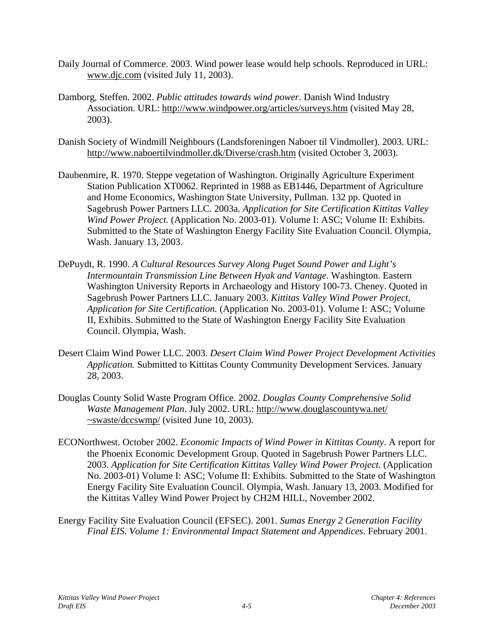- Daily Journal of Commerce. 2003. Wind power lease would help schools. Reproduced in URL: www.djc.com (visited July 11, 2003).
- Damborg, Steffen. 2002. *Public attitudes towards wind power*. Danish Wind Industry Association. URL: http://www.windpower.org/articles/surveys.htm (visited May 28, 2003).
- Danish Society of Windmill Neighbours (Landsforeningen Naboer til Vindmoller). 2003. URL: http://www.naboertilvindmoller.dk/Diverse/crash.htm (visited October 3, 2003).
- Daubenmire, R. 1970. Steppe vegetation of Washington. Originally Agriculture Experiment Station Publication XT0062. Reprinted in 1988 as EB1446, Department of Agriculture and Home Economics, Washington State University, Pullman. 132 pp. Quoted in Sagebrush Power Partners LLC. 2003a. *Application for Site Certification Kittitas Valley Wind Power Project.* (Application No. 2003-01). Volume I: ASC; Volume II: Exhibits. Submitted to the State of Washington Energy Facility Site Evaluation Council. Olympia, Wash. January 13, 2003.
- DePuydt, R. 1990. *A Cultural Resources Survey Along Puget Sound Power and Light's Intermountain Transmission Line Between Hyak and Vantage*. Washington. Eastern Washington University Reports in Archaeology and History 100-73. Cheney. Quoted in Sagebrush Power Partners LLC. January 2003. *Kittitas Valley Wind Power Project, Application for Site Certification.* (Application No. 2003-01). Volume I: ASC; Volume II, Exhibits. Submitted to the State of Washington Energy Facility Site Evaluation Council. Olympia, Wash.
- Desert Claim Wind Power LLC. 2003. *Desert Claim Wind Power Project Development Activities Application.* Submitted to Kittitas County Community Development Services. January 28, 2003.
- Douglas County Solid Waste Program Office. 2002. *Douglas County Comprehensive Solid Waste Management Plan*. July 2002. URL: http://www.douglascountywa.net/ ~swaste/dccswmp/ (visited June 10, 2003).
- ECONorthwest. October 2002. *Economic Impacts of Wind Power in Kittitas County*. A report for the Phoenix Economic Development Group. Quoted in Sagebrush Power Partners LLC. 2003. *Application for Site Certification Kittitas Valley Wind Power Project.* (Application No. 2003-01) Volume I: ASC; Volume II: Exhibits. Submitted to the State of Washington Energy Facility Site Evaluation Council. Olympia, Wash. January 13, 2003. Modified for the Kittitas Valley Wind Power Project by CH2M HILL, November 2002.
- Energy Facility Site Evaluation Council (EFSEC). 2001. *Sumas Energy 2 Generation Facility Final EIS. Volume 1: Environmental Impact Statement and Appendices*. February 2001.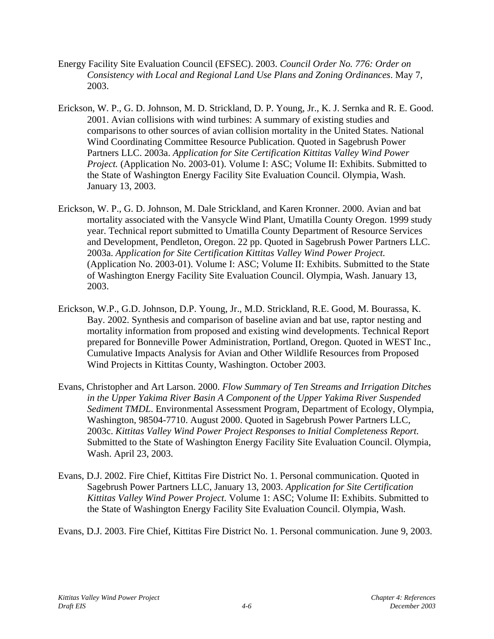- Energy Facility Site Evaluation Council (EFSEC). 2003. *Council Order No. 776: Order on Consistency with Local and Regional Land Use Plans and Zoning Ordinances*. May 7, 2003.
- Erickson, W. P., G. D. Johnson, M. D. Strickland, D. P. Young, Jr., K. J. Sernka and R. E. Good. 2001. Avian collisions with wind turbines: A summary of existing studies and comparisons to other sources of avian collision mortality in the United States. National Wind Coordinating Committee Resource Publication. Quoted in Sagebrush Power Partners LLC. 2003a. *Application for Site Certification Kittitas Valley Wind Power Project.* (Application No. 2003-01). Volume I: ASC; Volume II: Exhibits. Submitted to the State of Washington Energy Facility Site Evaluation Council. Olympia, Wash. January 13, 2003.
- Erickson, W. P., G. D. Johnson, M. Dale Strickland, and Karen Kronner. 2000. Avian and bat mortality associated with the Vansycle Wind Plant, Umatilla County Oregon. 1999 study year. Technical report submitted to Umatilla County Department of Resource Services and Development, Pendleton, Oregon. 22 pp. Quoted in Sagebrush Power Partners LLC. 2003a. *Application for Site Certification Kittitas Valley Wind Power Project.* (Application No. 2003-01). Volume I: ASC; Volume II: Exhibits. Submitted to the State of Washington Energy Facility Site Evaluation Council. Olympia, Wash. January 13, 2003.
- Erickson, W.P., G.D. Johnson, D.P. Young, Jr., M.D. Strickland, R.E. Good, M. Bourassa, K. Bay. 2002. Synthesis and comparison of baseline avian and bat use, raptor nesting and mortality information from proposed and existing wind developments. Technical Report prepared for Bonneville Power Administration, Portland, Oregon. Quoted in WEST Inc., Cumulative Impacts Analysis for Avian and Other Wildlife Resources from Proposed Wind Projects in Kittitas County, Washington. October 2003.
- Evans, Christopher and Art Larson. 2000. *Flow Summary of Ten Streams and Irrigation Ditches in the Upper Yakima River Basin A Component of the Upper Yakima River Suspended Sediment TMDL*. Environmental Assessment Program, Department of Ecology, Olympia, Washington, 98504-7710. August 2000. Quoted in Sagebrush Power Partners LLC, 2003c. *Kittitas Valley Wind Power Project Responses to Initial Completeness Report*. Submitted to the State of Washington Energy Facility Site Evaluation Council. Olympia, Wash. April 23, 2003.
- Evans, D.J. 2002. Fire Chief, Kittitas Fire District No. 1. Personal communication. Quoted in Sagebrush Power Partners LLC, January 13, 2003. *Application for Site Certification Kittitas Valley Wind Power Project.* Volume 1: ASC; Volume II: Exhibits. Submitted to the State of Washington Energy Facility Site Evaluation Council. Olympia, Wash.

Evans, D.J. 2003. Fire Chief, Kittitas Fire District No. 1. Personal communication. June 9, 2003.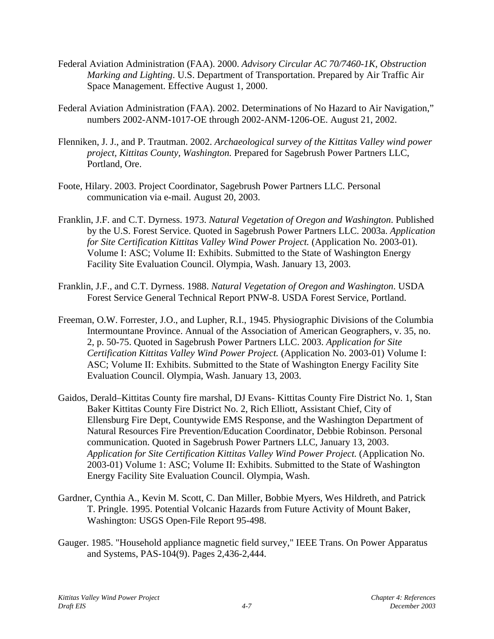- Federal Aviation Administration (FAA). 2000. *Advisory Circular AC 70/7460-1K, Obstruction Marking and Lighting*. U.S. Department of Transportation. Prepared by Air Traffic Air Space Management. Effective August 1, 2000.
- Federal Aviation Administration (FAA). 2002. Determinations of No Hazard to Air Navigation," numbers 2002-ANM-1017-OE through 2002-ANM-1206-OE. August 21, 2002.
- Flenniken, J. J., and P. Trautman. 2002. *Archaeological survey of the Kittitas Valley wind power project, Kittitas County, Washington.* Prepared for Sagebrush Power Partners LLC, Portland, Ore.
- Foote, Hilary. 2003. Project Coordinator, Sagebrush Power Partners LLC. Personal communication via e-mail. August 20, 2003.
- Franklin, J.F. and C.T. Dyrness. 1973. *Natural Vegetation of Oregon and Washington*. Published by the U.S. Forest Service. Quoted in Sagebrush Power Partners LLC. 2003a. *Application for Site Certification Kittitas Valley Wind Power Project.* (Application No. 2003-01). Volume I: ASC; Volume II: Exhibits. Submitted to the State of Washington Energy Facility Site Evaluation Council. Olympia, Wash. January 13, 2003.
- Franklin, J.F., and C.T. Dyrness. 1988. *Natural Vegetation of Oregon and Washington*. USDA Forest Service General Technical Report PNW-8. USDA Forest Service, Portland.
- Freeman, O.W. Forrester, J.O., and Lupher, R.I., 1945. Physiographic Divisions of the Columbia Intermountane Province. Annual of the Association of American Geographers, v. 35, no. 2, p. 50-75. Quoted in Sagebrush Power Partners LLC. 2003. *Application for Site Certification Kittitas Valley Wind Power Project.* (Application No. 2003-01) Volume I: ASC; Volume II: Exhibits. Submitted to the State of Washington Energy Facility Site Evaluation Council. Olympia, Wash. January 13, 2003.
- Gaidos, Derald–Kittitas County fire marshal, DJ Evans- Kittitas County Fire District No. 1, Stan Baker Kittitas County Fire District No. 2, Rich Elliott, Assistant Chief, City of Ellensburg Fire Dept, Countywide EMS Response, and the Washington Department of Natural Resources Fire Prevention/Education Coordinator, Debbie Robinson. Personal communication. Quoted in Sagebrush Power Partners LLC, January 13, 2003. *Application for Site Certification Kittitas Valley Wind Power Project.* (Application No. 2003-01) Volume 1: ASC; Volume II: Exhibits. Submitted to the State of Washington Energy Facility Site Evaluation Council. Olympia, Wash.
- Gardner, Cynthia A., Kevin M. Scott, C. Dan Miller, Bobbie Myers, Wes Hildreth, and Patrick T. Pringle. 1995. Potential Volcanic Hazards from Future Activity of Mount Baker, Washington: USGS Open-File Report 95-498.
- Gauger. 1985. "Household appliance magnetic field survey," IEEE Trans. On Power Apparatus and Systems, PAS-104(9). Pages 2,436-2,444.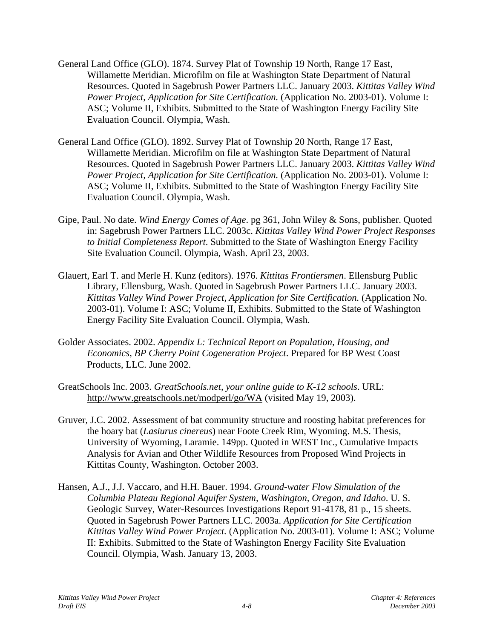- General Land Office (GLO). 1874. Survey Plat of Township 19 North, Range 17 East, Willamette Meridian. Microfilm on file at Washington State Department of Natural Resources. Quoted in Sagebrush Power Partners LLC. January 2003. *Kittitas Valley Wind Power Project, Application for Site Certification.* (Application No. 2003-01). Volume I: ASC; Volume II, Exhibits. Submitted to the State of Washington Energy Facility Site Evaluation Council. Olympia, Wash.
- General Land Office (GLO). 1892. Survey Plat of Township 20 North, Range 17 East, Willamette Meridian. Microfilm on file at Washington State Department of Natural Resources. Quoted in Sagebrush Power Partners LLC. January 2003. *Kittitas Valley Wind Power Project, Application for Site Certification.* (Application No. 2003-01). Volume I: ASC; Volume II, Exhibits. Submitted to the State of Washington Energy Facility Site Evaluation Council. Olympia, Wash.
- Gipe, Paul. No date. *Wind Energy Comes of Age*. pg 361, John Wiley & Sons, publisher. Quoted in: Sagebrush Power Partners LLC. 2003c. *Kittitas Valley Wind Power Project Responses to Initial Completeness Report*. Submitted to the State of Washington Energy Facility Site Evaluation Council. Olympia, Wash. April 23, 2003.
- Glauert, Earl T. and Merle H. Kunz (editors). 1976. *Kittitas Frontiersmen*. Ellensburg Public Library, Ellensburg, Wash. Quoted in Sagebrush Power Partners LLC. January 2003. *Kittitas Valley Wind Power Project, Application for Site Certification.* (Application No. 2003-01). Volume I: ASC; Volume II, Exhibits. Submitted to the State of Washington Energy Facility Site Evaluation Council. Olympia, Wash.
- Golder Associates. 2002. *Appendix L: Technical Report on Population, Housing, and Economics, BP Cherry Point Cogeneration Project*. Prepared for BP West Coast Products, LLC. June 2002.
- GreatSchools Inc. 2003. *GreatSchools.net, your online guide to K-12 schools*. URL: http://www.greatschools.net/modperl/go/WA (visited May 19, 2003).
- Gruver, J.C. 2002. Assessment of bat community structure and roosting habitat preferences for the hoary bat (*Lasiurus cinereus*) near Foote Creek Rim, Wyoming. M.S. Thesis, University of Wyoming, Laramie. 149pp. Quoted in WEST Inc., Cumulative Impacts Analysis for Avian and Other Wildlife Resources from Proposed Wind Projects in Kittitas County, Washington. October 2003.
- Hansen, A.J., J.J. Vaccaro, and H.H. Bauer. 1994. *Ground-water Flow Simulation of the Columbia Plateau Regional Aquifer System, Washington, Oregon, and Idaho*. U. S. Geologic Survey, Water-Resources Investigations Report 91-4178, 81 p., 15 sheets. Quoted in Sagebrush Power Partners LLC. 2003a. *Application for Site Certification Kittitas Valley Wind Power Project.* (Application No. 2003-01). Volume I: ASC; Volume II: Exhibits. Submitted to the State of Washington Energy Facility Site Evaluation Council. Olympia, Wash. January 13, 2003.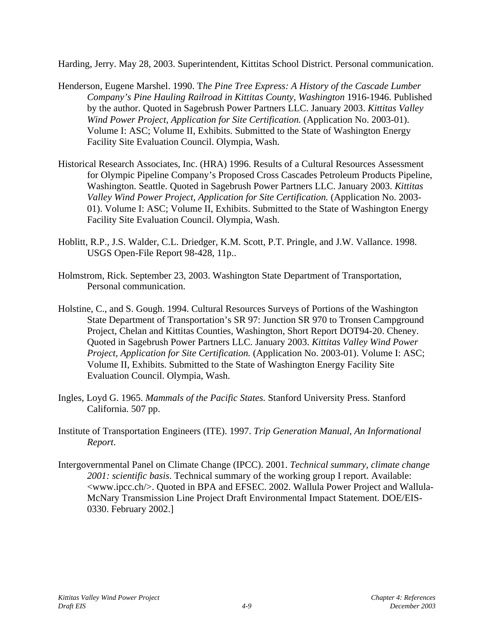Harding, Jerry. May 28, 2003. Superintendent, Kittitas School District. Personal communication.

- Henderson, Eugene Marshel. 1990. T*he Pine Tree Express: A History of the Cascade Lumber Company's Pine Hauling Railroad in Kittitas County, Washington* 1916-1946. Published by the author. Quoted in Sagebrush Power Partners LLC. January 2003. *Kittitas Valley Wind Power Project, Application for Site Certification.* (Application No. 2003-01). Volume I: ASC; Volume II, Exhibits. Submitted to the State of Washington Energy Facility Site Evaluation Council. Olympia, Wash.
- Historical Research Associates, Inc. (HRA) 1996. Results of a Cultural Resources Assessment for Olympic Pipeline Company's Proposed Cross Cascades Petroleum Products Pipeline, Washington. Seattle. Quoted in Sagebrush Power Partners LLC. January 2003. *Kittitas Valley Wind Power Project, Application for Site Certification.* (Application No. 2003- 01). Volume I: ASC; Volume II, Exhibits. Submitted to the State of Washington Energy Facility Site Evaluation Council. Olympia, Wash.
- Hoblitt, R.P., J.S. Walder, C.L. Driedger, K.M. Scott, P.T. Pringle, and J.W. Vallance. 1998. USGS Open-File Report 98-428, 11p..
- Holmstrom, Rick. September 23, 2003. Washington State Department of Transportation, Personal communication.
- Holstine, C., and S. Gough. 1994. Cultural Resources Surveys of Portions of the Washington State Department of Transportation's SR 97: Junction SR 970 to Tronsen Campground Project, Chelan and Kittitas Counties, Washington, Short Report DOT94-20. Cheney. Quoted in Sagebrush Power Partners LLC. January 2003. *Kittitas Valley Wind Power Project, Application for Site Certification.* (Application No. 2003-01). Volume I: ASC; Volume II, Exhibits. Submitted to the State of Washington Energy Facility Site Evaluation Council. Olympia, Wash.
- Ingles, Loyd G. 1965. *Mammals of the Pacific States.* Stanford University Press. Stanford California. 507 pp.
- Institute of Transportation Engineers (ITE). 1997. *Trip Generation Manual, An Informational Report*.
- Intergovernmental Panel on Climate Change (IPCC). 2001. *Technical summary, climate change 2001: scientific basis*. Technical summary of the working group I report. Available: <www.ipcc.ch/>. Quoted in BPA and EFSEC. 2002. Wallula Power Project and Wallula-McNary Transmission Line Project Draft Environmental Impact Statement. DOE/EIS-0330. February 2002.]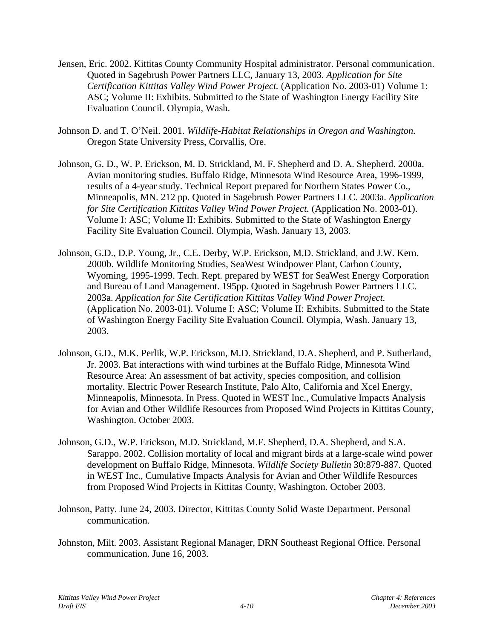- Jensen, Eric. 2002. Kittitas County Community Hospital administrator. Personal communication. Quoted in Sagebrush Power Partners LLC, January 13, 2003. *Application for Site Certification Kittitas Valley Wind Power Project.* (Application No. 2003-01) Volume 1: ASC; Volume II: Exhibits. Submitted to the State of Washington Energy Facility Site Evaluation Council. Olympia, Wash.
- Johnson D. and T. O'Neil. 2001. *Wildlife-Habitat Relationships in Oregon and Washington.* Oregon State University Press, Corvallis, Ore.
- Johnson, G. D., W. P. Erickson, M. D. Strickland, M. F. Shepherd and D. A. Shepherd. 2000a. Avian monitoring studies. Buffalo Ridge, Minnesota Wind Resource Area, 1996-1999, results of a 4-year study. Technical Report prepared for Northern States Power Co., Minneapolis, MN. 212 pp. Quoted in Sagebrush Power Partners LLC. 2003a. *Application for Site Certification Kittitas Valley Wind Power Project.* (Application No. 2003-01). Volume I: ASC; Volume II: Exhibits. Submitted to the State of Washington Energy Facility Site Evaluation Council. Olympia, Wash. January 13, 2003.
- Johnson, G.D., D.P. Young, Jr., C.E. Derby, W.P. Erickson, M.D. Strickland, and J.W. Kern. 2000b. Wildlife Monitoring Studies, SeaWest Windpower Plant, Carbon County, Wyoming, 1995-1999. Tech. Rept. prepared by WEST for SeaWest Energy Corporation and Bureau of Land Management. 195pp. Quoted in Sagebrush Power Partners LLC. 2003a. *Application for Site Certification Kittitas Valley Wind Power Project.* (Application No. 2003-01). Volume I: ASC; Volume II: Exhibits. Submitted to the State of Washington Energy Facility Site Evaluation Council. Olympia, Wash. January 13, 2003.
- Johnson, G.D., M.K. Perlik, W.P. Erickson, M.D. Strickland, D.A. Shepherd, and P. Sutherland, Jr. 2003. Bat interactions with wind turbines at the Buffalo Ridge, Minnesota Wind Resource Area: An assessment of bat activity, species composition, and collision mortality. Electric Power Research Institute, Palo Alto, California and Xcel Energy, Minneapolis, Minnesota. In Press. Quoted in WEST Inc., Cumulative Impacts Analysis for Avian and Other Wildlife Resources from Proposed Wind Projects in Kittitas County, Washington. October 2003.
- Johnson, G.D., W.P. Erickson, M.D. Strickland, M.F. Shepherd, D.A. Shepherd, and S.A. Sarappo. 2002. Collision mortality of local and migrant birds at a large-scale wind power development on Buffalo Ridge, Minnesota. *Wildlife Society Bulletin* 30:879-887. Quoted in WEST Inc., Cumulative Impacts Analysis for Avian and Other Wildlife Resources from Proposed Wind Projects in Kittitas County, Washington. October 2003.
- Johnson, Patty. June 24, 2003. Director, Kittitas County Solid Waste Department. Personal communication.
- Johnston, Milt. 2003. Assistant Regional Manager, DRN Southeast Regional Office. Personal communication. June 16, 2003.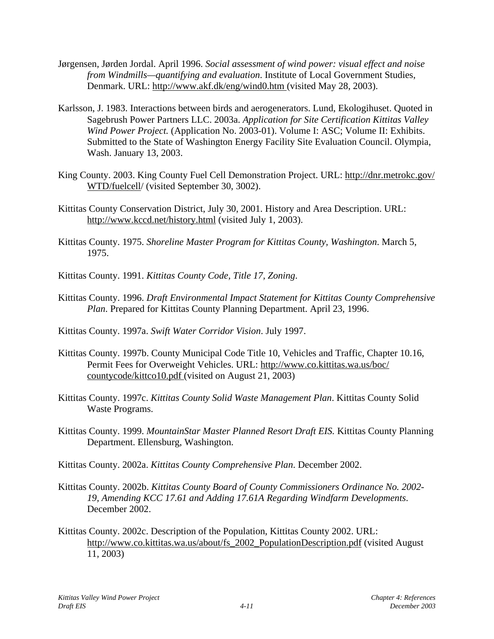- Jørgensen, Jørden Jordal. April 1996. *Social assessment of wind power: visual effect and noise from Windmills—quantifying and evaluation*. Institute of Local Government Studies, Denmark. URL: http://www.akf.dk/eng/wind0.htm (visited May 28, 2003).
- Karlsson, J. 1983. Interactions between birds and aerogenerators. Lund, Ekologihuset. Quoted in Sagebrush Power Partners LLC. 2003a. *Application for Site Certification Kittitas Valley Wind Power Project.* (Application No. 2003-01). Volume I: ASC; Volume II: Exhibits. Submitted to the State of Washington Energy Facility Site Evaluation Council. Olympia, Wash. January 13, 2003.
- King County. 2003. King County Fuel Cell Demonstration Project. URL: http://dnr.metrokc.gov/ WTD/fuelcell/ (visited September 30, 3002).
- Kittitas County Conservation District, July 30, 2001. History and Area Description. URL: http://www.kccd.net/history.html (visited July 1, 2003).
- Kittitas County. 1975. *Shoreline Master Program for Kittitas County, Washington*. March 5, 1975.
- Kittitas County. 1991. *Kittitas County Code, Title 17, Zoning*.
- Kittitas County. 1996. *Draft Environmental Impact Statement for Kittitas County Comprehensive Plan*. Prepared for Kittitas County Planning Department. April 23, 1996.
- Kittitas County. 1997a. *Swift Water Corridor Vision*. July 1997.
- Kittitas County. 1997b. County Municipal Code Title 10, Vehicles and Traffic, Chapter 10.16, Permit Fees for Overweight Vehicles. URL: http://www.co.kittitas.wa.us/boc/ countycode/kittco10.pdf (visited on August 21, 2003)
- Kittitas County. 1997c. *Kittitas County Solid Waste Management Plan*. Kittitas County Solid Waste Programs.
- Kittitas County. 1999. *MountainStar Master Planned Resort Draft EIS.* Kittitas County Planning Department. Ellensburg, Washington.
- Kittitas County. 2002a. *Kittitas County Comprehensive Plan*. December 2002.
- Kittitas County. 2002b. *Kittitas County Board of County Commissioners Ordinance No. 2002- 19, Amending KCC 17.61 and Adding 17.61A Regarding Windfarm Developments*. December 2002.
- Kittitas County. 2002c. Description of the Population, Kittitas County 2002. URL: http://www.co.kittitas.wa.us/about/fs\_2002\_PopulationDescription.pdf (visited August 11, 2003)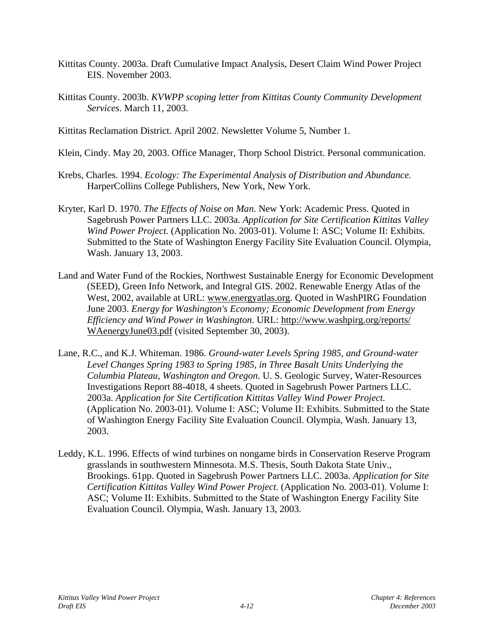- Kittitas County. 2003a. Draft Cumulative Impact Analysis, Desert Claim Wind Power Project EIS. November 2003.
- Kittitas County. 2003b. *KVWPP scoping letter from Kittitas County Community Development Services*. March 11, 2003.

Kittitas Reclamation District. April 2002. Newsletter Volume 5, Number 1.

- Klein, Cindy. May 20, 2003. Office Manager, Thorp School District. Personal communication.
- Krebs, Charles. 1994. *Ecology: The Experimental Analysis of Distribution and Abundance.* HarperCollins College Publishers, New York, New York.
- Kryter, Karl D. 1970. *The Effects of Noise on Man*. New York: Academic Press. Quoted in Sagebrush Power Partners LLC. 2003a. *Application for Site Certification Kittitas Valley Wind Power Project.* (Application No. 2003-01). Volume I: ASC; Volume II: Exhibits. Submitted to the State of Washington Energy Facility Site Evaluation Council. Olympia, Wash. January 13, 2003.
- Land and Water Fund of the Rockies, Northwest Sustainable Energy for Economic Development (SEED), Green Info Network, and Integral GIS. 2002. Renewable Energy Atlas of the West, 2002, available at URL: www.energyatlas.org. Quoted in WashPIRG Foundation June 2003. *Energy for Washington's Economy; Economic Development from Energy Efficiency and Wind Power in Washington*. URL: http://www.washpirg.org/reports/ WAenergyJune03.pdf (visited September 30, 2003).
- Lane, R.C., and K.J. Whiteman. 1986. *Ground-water Levels Spring 1985, and Ground-water Level Changes Spring 1983 to Spring 1985, in Three Basalt Units Underlying the Columbia Plateau, Washington and Oregon*. U. S. Geologic Survey, Water-Resources Investigations Report 88-4018, 4 sheets. Quoted in Sagebrush Power Partners LLC. 2003a. *Application for Site Certification Kittitas Valley Wind Power Project.* (Application No. 2003-01). Volume I: ASC; Volume II: Exhibits. Submitted to the State of Washington Energy Facility Site Evaluation Council. Olympia, Wash. January 13, 2003.
- Leddy, K.L. 1996. Effects of wind turbines on nongame birds in Conservation Reserve Program grasslands in southwestern Minnesota. M.S. Thesis, South Dakota State Univ., Brookings. 61pp. Quoted in Sagebrush Power Partners LLC. 2003a. *Application for Site Certification Kittitas Valley Wind Power Project.* (Application No. 2003-01). Volume I: ASC; Volume II: Exhibits. Submitted to the State of Washington Energy Facility Site Evaluation Council. Olympia, Wash. January 13, 2003.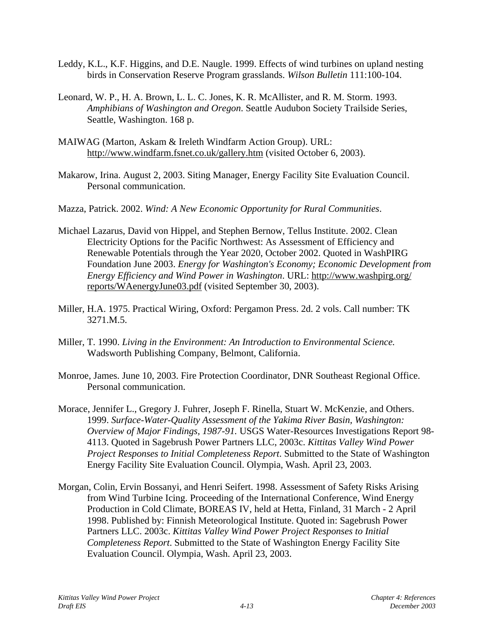- Leddy, K.L., K.F. Higgins, and D.E. Naugle. 1999. Effects of wind turbines on upland nesting birds in Conservation Reserve Program grasslands. *Wilson Bulletin* 111:100-104.
- Leonard, W. P., H. A. Brown, L. L. C. Jones, K. R. McAllister, and R. M. Storm. 1993. *Amphibians of Washington and Oregon*. Seattle Audubon Society Trailside Series, Seattle, Washington. 168 p.
- MAIWAG (Marton, Askam & Ireleth Windfarm Action Group). URL: http://www.windfarm.fsnet.co.uk/gallery.htm (visited October 6, 2003).
- Makarow, Irina. August 2, 2003. Siting Manager, Energy Facility Site Evaluation Council. Personal communication.
- Mazza, Patrick. 2002. *Wind: A New Economic Opportunity for Rural Communities*.
- Michael Lazarus, David von Hippel, and Stephen Bernow, Tellus Institute. 2002. Clean Electricity Options for the Pacific Northwest: As Assessment of Efficiency and Renewable Potentials through the Year 2020, October 2002. Quoted in WashPIRG Foundation June 2003. *Energy for Washington's Economy; Economic Development from Energy Efficiency and Wind Power in Washington*. URL: http://www.washpirg.org/ reports/WAenergyJune03.pdf (visited September 30, 2003).
- Miller, H.A. 1975. Practical Wiring, Oxford: Pergamon Press. 2d. 2 vols. Call number: TK 3271.M.5.
- Miller, T. 1990. *Living in the Environment: An Introduction to Environmental Science.* Wadsworth Publishing Company, Belmont, California.
- Monroe, James. June 10, 2003. Fire Protection Coordinator, DNR Southeast Regional Office. Personal communication.
- Morace, Jennifer L., Gregory J. Fuhrer, Joseph F. Rinella, Stuart W. McKenzie, and Others. 1999. *Surface-Water-Quality Assessment of the Yakima River Basin, Washington: Overview of Major Findings, 1987-91.* USGS Water-Resources Investigations Report 98- 4113. Quoted in Sagebrush Power Partners LLC, 2003c. *Kittitas Valley Wind Power Project Responses to Initial Completeness Report*. Submitted to the State of Washington Energy Facility Site Evaluation Council. Olympia, Wash. April 23, 2003.
- Morgan, Colin, Ervin Bossanyi, and Henri Seifert. 1998. Assessment of Safety Risks Arising from Wind Turbine Icing. Proceeding of the International Conference, Wind Energy Production in Cold Climate, BOREAS IV, held at Hetta, Finland, 31 March - 2 April 1998. Published by: Finnish Meteorological Institute. Quoted in: Sagebrush Power Partners LLC. 2003c. *Kittitas Valley Wind Power Project Responses to Initial Completeness Report*. Submitted to the State of Washington Energy Facility Site Evaluation Council. Olympia, Wash. April 23, 2003.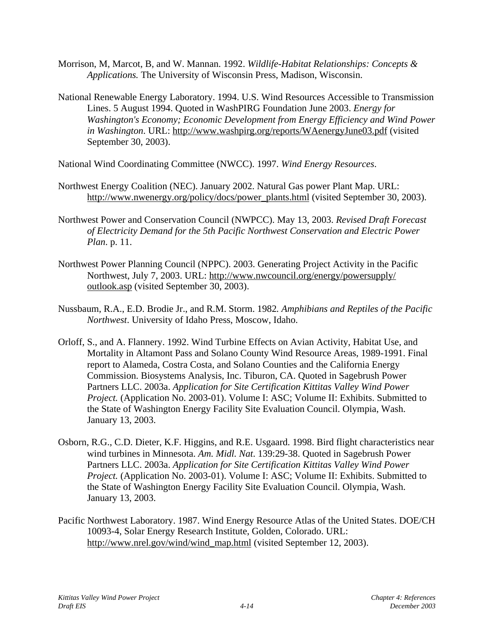- Morrison, M, Marcot, B, and W. Mannan. 1992. *Wildlife-Habitat Relationships: Concepts & Applications.* The University of Wisconsin Press, Madison, Wisconsin.
- National Renewable Energy Laboratory. 1994. U.S. Wind Resources Accessible to Transmission Lines. 5 August 1994. Quoted in WashPIRG Foundation June 2003. *Energy for Washington's Economy; Economic Development from Energy Efficiency and Wind Power in Washington*. URL: http://www.washpirg.org/reports/WAenergyJune03.pdf (visited September 30, 2003).
- National Wind Coordinating Committee (NWCC). 1997. *Wind Energy Resources*.
- Northwest Energy Coalition (NEC). January 2002. Natural Gas power Plant Map. URL: http://www.nwenergy.org/policy/docs/power\_plants.html (visited September 30, 2003).
- Northwest Power and Conservation Council (NWPCC). May 13, 2003. *Revised Draft Forecast of Electricity Demand for the 5th Pacific Northwest Conservation and Electric Power Plan*. p. 11.
- Northwest Power Planning Council (NPPC). 2003. Generating Project Activity in the Pacific Northwest, July 7, 2003. URL: http://www.nwcouncil.org/energy/powersupply/ outlook.asp (visited September 30, 2003).
- Nussbaum, R.A., E.D. Brodie Jr., and R.M. Storm. 1982*. Amphibians and Reptiles of the Pacific Northwest*. University of Idaho Press, Moscow, Idaho.
- Orloff, S., and A. Flannery. 1992. Wind Turbine Effects on Avian Activity, Habitat Use, and Mortality in Altamont Pass and Solano County Wind Resource Areas, 1989-1991. Final report to Alameda, Costra Costa, and Solano Counties and the California Energy Commission. Biosystems Analysis, Inc. Tiburon, CA. Quoted in Sagebrush Power Partners LLC. 2003a. *Application for Site Certification Kittitas Valley Wind Power Project.* (Application No. 2003-01). Volume I: ASC; Volume II: Exhibits. Submitted to the State of Washington Energy Facility Site Evaluation Council. Olympia, Wash. January 13, 2003.
- Osborn, R.G., C.D. Dieter, K.F. Higgins, and R.E. Usgaard. 1998. Bird flight characteristics near wind turbines in Minnesota. *Am. Midl. Nat*. 139:29-38. Quoted in Sagebrush Power Partners LLC. 2003a. *Application for Site Certification Kittitas Valley Wind Power Project.* (Application No. 2003-01). Volume I: ASC; Volume II: Exhibits. Submitted to the State of Washington Energy Facility Site Evaluation Council. Olympia, Wash. January 13, 2003.
- Pacific Northwest Laboratory. 1987. Wind Energy Resource Atlas of the United States. DOE/CH 10093-4, Solar Energy Research Institute, Golden, Colorado. URL: http://www.nrel.gov/wind/wind\_map.html (visited September 12, 2003).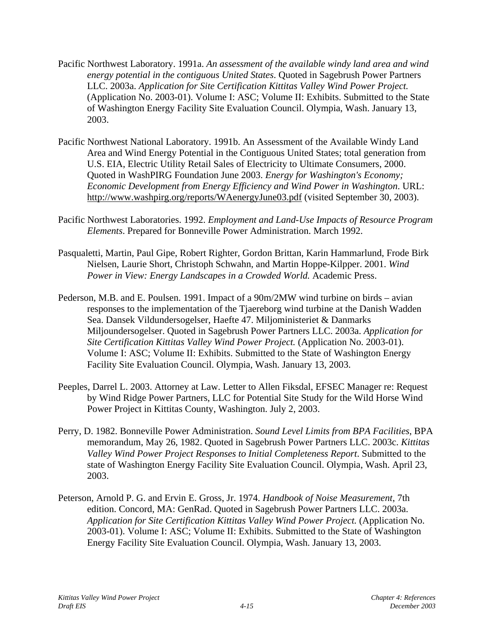- Pacific Northwest Laboratory. 1991a. *An assessment of the available windy land area and wind energy potential in the contiguous United States*. Quoted in Sagebrush Power Partners LLC. 2003a. *Application for Site Certification Kittitas Valley Wind Power Project.* (Application No. 2003-01). Volume I: ASC; Volume II: Exhibits. Submitted to the State of Washington Energy Facility Site Evaluation Council. Olympia, Wash. January 13, 2003.
- Pacific Northwest National Laboratory. 1991b. An Assessment of the Available Windy Land Area and Wind Energy Potential in the Contiguous United States; total generation from U.S. EIA, Electric Utility Retail Sales of Electricity to Ultimate Consumers, 2000. Quoted in WashPIRG Foundation June 2003. *Energy for Washington's Economy; Economic Development from Energy Efficiency and Wind Power in Washington*. URL: http://www.washpirg.org/reports/WAenergyJune03.pdf (visited September 30, 2003).
- Pacific Northwest Laboratories. 1992. *Employment and Land-Use Impacts of Resource Program Elements*. Prepared for Bonneville Power Administration. March 1992.
- Pasqualetti, Martin, Paul Gipe, Robert Righter, Gordon Brittan, Karin Hammarlund, Frode Birk Nielsen, Laurie Short, Christoph Schwahn, and Martin Hoppe-Kilpper. 2001. *Wind Power in View: Energy Landscapes in a Crowded World.* Academic Press.
- Pederson, M.B. and E. Poulsen. 1991. Impact of a 90m/2MW wind turbine on birds avian responses to the implementation of the Tjaereborg wind turbine at the Danish Wadden Sea. Dansek Vildundersogelser, Haefte 47. Miljoministeriet & Danmarks Miljoundersogelser. Quoted in Sagebrush Power Partners LLC. 2003a. *Application for Site Certification Kittitas Valley Wind Power Project.* (Application No. 2003-01). Volume I: ASC; Volume II: Exhibits. Submitted to the State of Washington Energy Facility Site Evaluation Council. Olympia, Wash. January 13, 2003.
- Peeples, Darrel L. 2003. Attorney at Law. Letter to Allen Fiksdal, EFSEC Manager re: Request by Wind Ridge Power Partners, LLC for Potential Site Study for the Wild Horse Wind Power Project in Kittitas County, Washington. July 2, 2003.
- Perry, D. 1982. Bonneville Power Administration. *Sound Level Limits from BPA Facilities*, BPA memorandum, May 26, 1982. Quoted in Sagebrush Power Partners LLC. 2003c. *Kittitas Valley Wind Power Project Responses to Initial Completeness Report*. Submitted to the state of Washington Energy Facility Site Evaluation Council. Olympia, Wash. April 23, 2003.
- Peterson, Arnold P. G. and Ervin E. Gross, Jr. 1974. *Handbook of Noise Measurement*, 7th edition. Concord, MA: GenRad. Quoted in Sagebrush Power Partners LLC. 2003a. *Application for Site Certification Kittitas Valley Wind Power Project.* (Application No. 2003-01). Volume I: ASC; Volume II: Exhibits. Submitted to the State of Washington Energy Facility Site Evaluation Council. Olympia, Wash. January 13, 2003.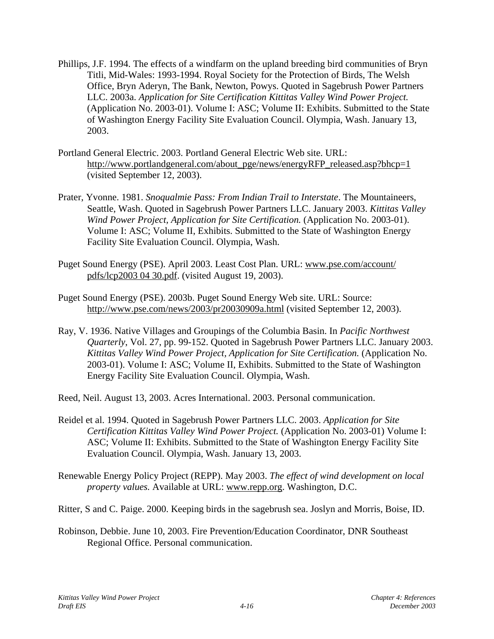- Phillips, J.F. 1994. The effects of a windfarm on the upland breeding bird communities of Bryn Titli, Mid-Wales: 1993-1994. Royal Society for the Protection of Birds, The Welsh Office, Bryn Aderyn, The Bank, Newton, Powys. Quoted in Sagebrush Power Partners LLC. 2003a. *Application for Site Certification Kittitas Valley Wind Power Project.* (Application No. 2003-01). Volume I: ASC; Volume II: Exhibits. Submitted to the State of Washington Energy Facility Site Evaluation Council. Olympia, Wash. January 13, 2003.
- Portland General Electric. 2003. Portland General Electric Web site. URL: http://www.portlandgeneral.com/about\_pge/news/energyRFP\_released.asp?bhcp=1\_ (visited September 12, 2003).
- Prater, Yvonne. 1981. *Snoqualmie Pass: From Indian Trail to Interstate*. The Mountaineers, Seattle, Wash. Quoted in Sagebrush Power Partners LLC. January 2003. *Kittitas Valley Wind Power Project, Application for Site Certification.* (Application No. 2003-01). Volume I: ASC; Volume II, Exhibits. Submitted to the State of Washington Energy Facility Site Evaluation Council. Olympia, Wash.
- Puget Sound Energy (PSE). April 2003. Least Cost Plan. URL: www.pse.com/account/ pdfs/lcp2003 04 30.pdf. (visited August 19, 2003).
- Puget Sound Energy (PSE). 2003b. Puget Sound Energy Web site. URL: Source: http://www.pse.com/news/2003/pr20030909a.html (visited September 12, 2003).
- Ray, V. 1936. Native Villages and Groupings of the Columbia Basin. In *Pacific Northwest Quarterly*, Vol. 27, pp. 99-152. Quoted in Sagebrush Power Partners LLC. January 2003. *Kittitas Valley Wind Power Project, Application for Site Certification.* (Application No. 2003-01). Volume I: ASC; Volume II, Exhibits. Submitted to the State of Washington Energy Facility Site Evaluation Council. Olympia, Wash.

Reed, Neil. August 13, 2003. Acres International. 2003. Personal communication.

- Reidel et al. 1994. Quoted in Sagebrush Power Partners LLC. 2003. *Application for Site Certification Kittitas Valley Wind Power Project.* (Application No. 2003-01) Volume I: ASC; Volume II: Exhibits. Submitted to the State of Washington Energy Facility Site Evaluation Council. Olympia, Wash. January 13, 2003.
- Renewable Energy Policy Project (REPP). May 2003. *The effect of wind development on local property values.* Available at URL: www.repp.org. Washington, D.C.

Ritter, S and C. Paige. 2000. Keeping birds in the sagebrush sea. Joslyn and Morris, Boise, ID.

Robinson, Debbie. June 10, 2003. Fire Prevention/Education Coordinator, DNR Southeast Regional Office. Personal communication.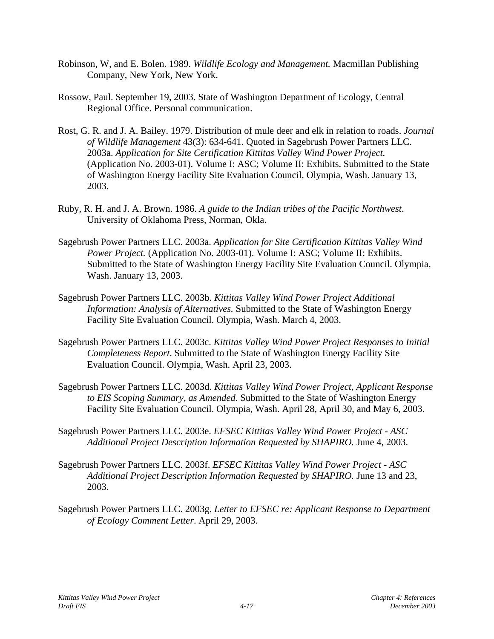- Robinson, W, and E. Bolen. 1989. *Wildlife Ecology and Management.* Macmillan Publishing Company, New York, New York.
- Rossow, Paul. September 19, 2003. State of Washington Department of Ecology, Central Regional Office. Personal communication.
- Rost, G. R. and J. A. Bailey. 1979. Distribution of mule deer and elk in relation to roads. *Journal of Wildlife Management* 43(3): 634-641. Quoted in Sagebrush Power Partners LLC. 2003a. *Application for Site Certification Kittitas Valley Wind Power Project.* (Application No. 2003-01). Volume I: ASC; Volume II: Exhibits. Submitted to the State of Washington Energy Facility Site Evaluation Council. Olympia, Wash. January 13, 2003.
- Ruby, R. H. and J. A. Brown. 1986. *A guide to the Indian tribes of the Pacific Northwest*. University of Oklahoma Press, Norman, Okla.
- Sagebrush Power Partners LLC. 2003a. *Application for Site Certification Kittitas Valley Wind Power Project.* (Application No. 2003-01). Volume I: ASC; Volume II: Exhibits. Submitted to the State of Washington Energy Facility Site Evaluation Council. Olympia, Wash. January 13, 2003.
- Sagebrush Power Partners LLC. 2003b. *Kittitas Valley Wind Power Project Additional Information: Analysis of Alternatives.* Submitted to the State of Washington Energy Facility Site Evaluation Council. Olympia, Wash. March 4, 2003.
- Sagebrush Power Partners LLC. 2003c. *Kittitas Valley Wind Power Project Responses to Initial Completeness Report*. Submitted to the State of Washington Energy Facility Site Evaluation Council. Olympia, Wash. April 23, 2003.
- Sagebrush Power Partners LLC. 2003d. *Kittitas Valley Wind Power Project, Applicant Response to EIS Scoping Summary, as Amended.* Submitted to the State of Washington Energy Facility Site Evaluation Council. Olympia, Wash. April 28, April 30, and May 6, 2003.
- Sagebrush Power Partners LLC. 2003e. *EFSEC Kittitas Valley Wind Power Project ASC Additional Project Description Information Requested by SHAPIRO.* June 4, 2003.
- Sagebrush Power Partners LLC. 2003f. *EFSEC Kittitas Valley Wind Power Project ASC Additional Project Description Information Requested by SHAPIRO.* June 13 and 23, 2003.
- Sagebrush Power Partners LLC. 2003g. *Letter to EFSEC re: Applicant Response to Department of Ecology Comment Letter*. April 29, 2003.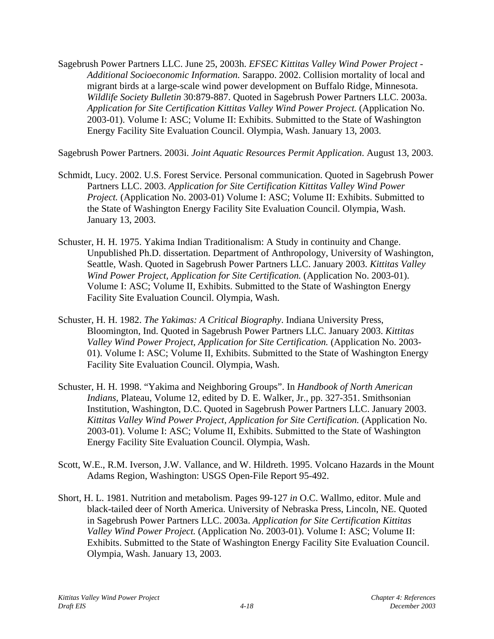Sagebrush Power Partners LLC. June 25, 2003h. *EFSEC Kittitas Valley Wind Power Project - Additional Socioeconomic Information.* Sarappo. 2002. Collision mortality of local and migrant birds at a large-scale wind power development on Buffalo Ridge, Minnesota. *Wildlife Society Bulletin* 30:879-887. Quoted in Sagebrush Power Partners LLC. 2003a. *Application for Site Certification Kittitas Valley Wind Power Project.* (Application No. 2003-01). Volume I: ASC; Volume II: Exhibits. Submitted to the State of Washington Energy Facility Site Evaluation Council. Olympia, Wash. January 13, 2003.

Sagebrush Power Partners. 2003i. *Joint Aquatic Resources Permit Application*. August 13, 2003.

- Schmidt, Lucy. 2002. U.S. Forest Service. Personal communication. Quoted in Sagebrush Power Partners LLC. 2003. *Application for Site Certification Kittitas Valley Wind Power Project.* (Application No. 2003-01) Volume I: ASC; Volume II: Exhibits. Submitted to the State of Washington Energy Facility Site Evaluation Council. Olympia, Wash. January 13, 2003.
- Schuster, H. H. 1975. Yakima Indian Traditionalism: A Study in continuity and Change. Unpublished Ph.D. dissertation. Department of Anthropology, University of Washington, Seattle, Wash. Quoted in Sagebrush Power Partners LLC. January 2003. *Kittitas Valley Wind Power Project, Application for Site Certification.* (Application No. 2003-01). Volume I: ASC; Volume II, Exhibits. Submitted to the State of Washington Energy Facility Site Evaluation Council. Olympia, Wash.
- Schuster, H. H. 1982. *The Yakimas: A Critical Biography*. Indiana University Press, Bloomington, Ind. Quoted in Sagebrush Power Partners LLC. January 2003. *Kittitas Valley Wind Power Project, Application for Site Certification.* (Application No. 2003- 01). Volume I: ASC; Volume II, Exhibits. Submitted to the State of Washington Energy Facility Site Evaluation Council. Olympia, Wash.
- Schuster, H. H. 1998. "Yakima and Neighboring Groups". In *Handbook of North American Indians*, Plateau, Volume 12, edited by D. E. Walker, Jr., pp. 327-351. Smithsonian Institution, Washington, D.C. Quoted in Sagebrush Power Partners LLC. January 2003. *Kittitas Valley Wind Power Project, Application for Site Certification.* (Application No. 2003-01). Volume I: ASC; Volume II, Exhibits. Submitted to the State of Washington Energy Facility Site Evaluation Council. Olympia, Wash.
- Scott, W.E., R.M. Iverson, J.W. Vallance, and W. Hildreth. 1995. Volcano Hazards in the Mount Adams Region, Washington: USGS Open-File Report 95-492.
- Short, H. L. 1981. Nutrition and metabolism. Pages 99-127 *in* O.C. Wallmo, editor. Mule and black-tailed deer of North America. University of Nebraska Press, Lincoln, NE. Quoted in Sagebrush Power Partners LLC. 2003a. *Application for Site Certification Kittitas Valley Wind Power Project.* (Application No. 2003-01). Volume I: ASC; Volume II: Exhibits. Submitted to the State of Washington Energy Facility Site Evaluation Council. Olympia, Wash. January 13, 2003.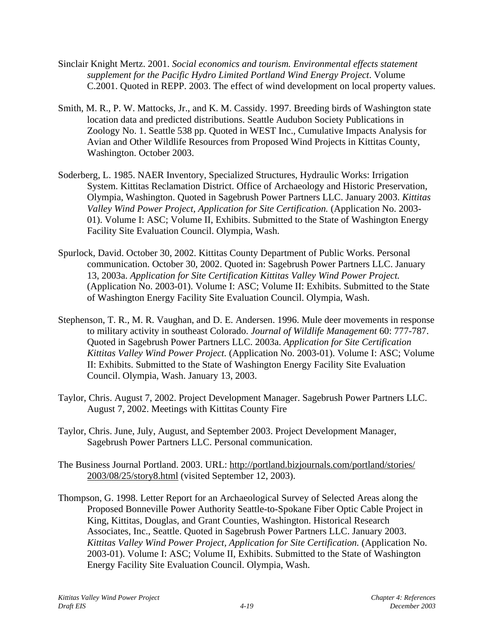- Sinclair Knight Mertz. 2001. *Social economics and tourism. Environmental effects statement supplement for the Pacific Hydro Limited Portland Wind Energy Project*. Volume C.2001. Quoted in REPP. 2003. The effect of wind development on local property values.
- Smith, M. R., P. W. Mattocks, Jr., and K. M. Cassidy. 1997. Breeding birds of Washington state location data and predicted distributions. Seattle Audubon Society Publications in Zoology No. 1. Seattle 538 pp. Quoted in WEST Inc., Cumulative Impacts Analysis for Avian and Other Wildlife Resources from Proposed Wind Projects in Kittitas County, Washington. October 2003.
- Soderberg, L. 1985. NAER Inventory, Specialized Structures, Hydraulic Works: Irrigation System. Kittitas Reclamation District. Office of Archaeology and Historic Preservation, Olympia, Washington. Quoted in Sagebrush Power Partners LLC. January 2003. *Kittitas Valley Wind Power Project, Application for Site Certification.* (Application No. 2003- 01). Volume I: ASC; Volume II, Exhibits. Submitted to the State of Washington Energy Facility Site Evaluation Council. Olympia, Wash.
- Spurlock, David. October 30, 2002. Kittitas County Department of Public Works. Personal communication. October 30, 2002. Quoted in: Sagebrush Power Partners LLC. January 13, 2003a. *Application for Site Certification Kittitas Valley Wind Power Project.* (Application No. 2003-01). Volume I: ASC; Volume II: Exhibits. Submitted to the State of Washington Energy Facility Site Evaluation Council. Olympia, Wash.
- Stephenson, T. R., M. R. Vaughan, and D. E. Andersen. 1996. Mule deer movements in response to military activity in southeast Colorado. *Journal of Wildlife Management* 60: 777-787. Quoted in Sagebrush Power Partners LLC. 2003a. *Application for Site Certification Kittitas Valley Wind Power Project.* (Application No. 2003-01). Volume I: ASC; Volume II: Exhibits. Submitted to the State of Washington Energy Facility Site Evaluation Council. Olympia, Wash. January 13, 2003.
- Taylor, Chris. August 7, 2002. Project Development Manager. Sagebrush Power Partners LLC. August 7, 2002. Meetings with Kittitas County Fire
- Taylor, Chris. June, July, August, and September 2003. Project Development Manager, Sagebrush Power Partners LLC. Personal communication.
- The Business Journal Portland. 2003. URL: http://portland.bizjournals.com/portland/stories/ 2003/08/25/story8.html (visited September 12, 2003).
- Thompson, G. 1998. Letter Report for an Archaeological Survey of Selected Areas along the Proposed Bonneville Power Authority Seattle-to-Spokane Fiber Optic Cable Project in King, Kittitas, Douglas, and Grant Counties, Washington. Historical Research Associates, Inc., Seattle. Quoted in Sagebrush Power Partners LLC. January 2003. *Kittitas Valley Wind Power Project, Application for Site Certification.* (Application No. 2003-01). Volume I: ASC; Volume II, Exhibits. Submitted to the State of Washington Energy Facility Site Evaluation Council. Olympia, Wash.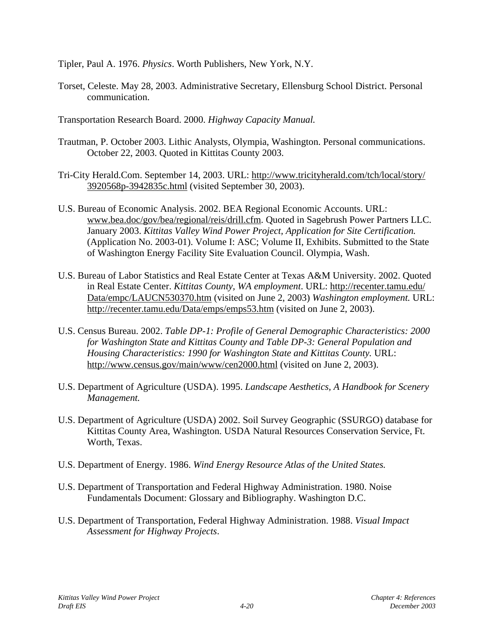Tipler, Paul A. 1976. *Physics*. Worth Publishers, New York, N.Y.

- Torset, Celeste. May 28, 2003. Administrative Secretary, Ellensburg School District. Personal communication.
- Transportation Research Board. 2000. *Highway Capacity Manual.*
- Trautman, P. October 2003. Lithic Analysts, Olympia, Washington. Personal communications. October 22, 2003. Quoted in Kittitas County 2003.
- Tri-City Herald.Com. September 14, 2003. URL: http://www.tricityherald.com/tch/local/story/ 3920568p-3942835c.html (visited September 30, 2003).
- U.S. Bureau of Economic Analysis. 2002. BEA Regional Economic Accounts. URL: www.bea.doc/gov/bea/regional/reis/drill.cfm. Quoted in Sagebrush Power Partners LLC. January 2003. *Kittitas Valley Wind Power Project, Application for Site Certification.* (Application No. 2003-01). Volume I: ASC; Volume II, Exhibits. Submitted to the State of Washington Energy Facility Site Evaluation Council. Olympia, Wash.
- U.S. Bureau of Labor Statistics and Real Estate Center at Texas A&M University. 2002. Quoted in Real Estate Center. *Kittitas County, WA employment*. URL: http://recenter.tamu.edu/ Data/empc/LAUCN530370.htm (visited on June 2, 2003) *Washington employment.* URL: http://recenter.tamu.edu/Data/emps/emps53.htm (visited on June 2, 2003).
- U.S. Census Bureau. 2002. *Table DP-1: Profile of General Demographic Characteristics: 2000 for Washington State and Kittitas County and Table DP-3: General Population and Housing Characteristics: 1990 for Washington State and Kittitas County.* URL: http://www.census.gov/main/www/cen2000.html (visited on June 2, 2003).
- U.S. Department of Agriculture (USDA). 1995. *Landscape Aesthetics, A Handbook for Scenery Management.*
- U.S. Department of Agriculture (USDA) 2002. Soil Survey Geographic (SSURGO) database for Kittitas County Area, Washington. USDA Natural Resources Conservation Service, Ft. Worth, Texas.
- U.S. Department of Energy. 1986. *Wind Energy Resource Atlas of the United States.*
- U.S. Department of Transportation and Federal Highway Administration. 1980. Noise Fundamentals Document: Glossary and Bibliography. Washington D.C.
- U.S. Department of Transportation, Federal Highway Administration. 1988. *Visual Impact Assessment for Highway Projects*.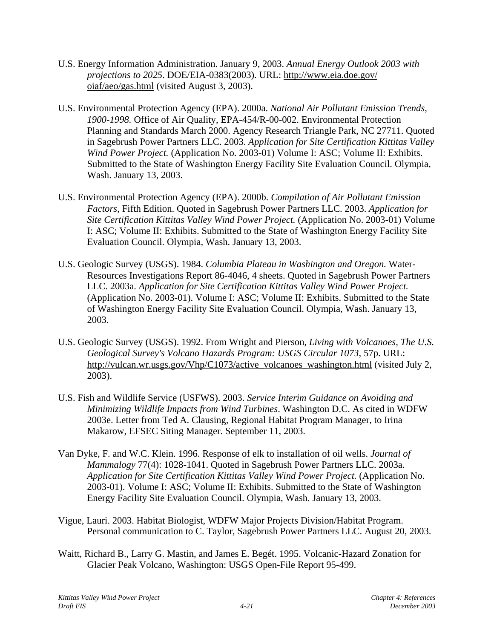- U.S. Energy Information Administration. January 9, 2003. *Annual Energy Outlook 2003 with projections to 2025*. DOE/EIA-0383(2003). URL: http://www.eia.doe.gov/ oiaf/aeo/gas.html (visited August 3, 2003).
- U.S. Environmental Protection Agency (EPA). 2000a. *National Air Pollutant Emission Trends, 1900-1998.* Office of Air Quality, EPA-454/R-00-002. Environmental Protection Planning and Standards March 2000. Agency Research Triangle Park, NC 27711. Quoted in Sagebrush Power Partners LLC. 2003. *Application for Site Certification Kittitas Valley Wind Power Project.* (Application No. 2003-01) Volume I: ASC; Volume II: Exhibits. Submitted to the State of Washington Energy Facility Site Evaluation Council. Olympia, Wash. January 13, 2003.
- U.S. Environmental Protection Agency (EPA). 2000b. *Compilation of Air Pollutant Emission Factors*, Fifth Edition. Quoted in Sagebrush Power Partners LLC. 2003. *Application for Site Certification Kittitas Valley Wind Power Project.* (Application No. 2003-01) Volume I: ASC; Volume II: Exhibits. Submitted to the State of Washington Energy Facility Site Evaluation Council. Olympia, Wash. January 13, 2003.
- U.S. Geologic Survey (USGS). 1984. *Columbia Plateau in Washington and Oregon.* Water-Resources Investigations Report 86-4046, 4 sheets. Quoted in Sagebrush Power Partners LLC. 2003a. *Application for Site Certification Kittitas Valley Wind Power Project.* (Application No. 2003-01). Volume I: ASC; Volume II: Exhibits. Submitted to the State of Washington Energy Facility Site Evaluation Council. Olympia, Wash. January 13, 2003.
- U.S. Geologic Survey (USGS). 1992. From Wright and Pierson, *Living with Volcanoes, The U.S. Geological Survey's Volcano Hazards Program: USGS Circular 1073*, 57p. URL: http://vulcan.wr.usgs.gov/Vhp/C1073/active\_volcanoes\_washington.html (visited July 2, 2003).
- U.S. Fish and Wildlife Service (USFWS). 2003. *Service Interim Guidance on Avoiding and Minimizing Wildlife Impacts from Wind Turbines*. Washington D.C. As cited in WDFW 2003e. Letter from Ted A. Clausing, Regional Habitat Program Manager, to Irina Makarow, EFSEC Siting Manager. September 11, 2003.
- Van Dyke, F. and W.C. Klein. 1996. Response of elk to installation of oil wells. *Journal of Mammalogy* 77(4): 1028-1041. Quoted in Sagebrush Power Partners LLC. 2003a. *Application for Site Certification Kittitas Valley Wind Power Project.* (Application No. 2003-01). Volume I: ASC; Volume II: Exhibits. Submitted to the State of Washington Energy Facility Site Evaluation Council. Olympia, Wash. January 13, 2003.
- Vigue, Lauri. 2003. Habitat Biologist, WDFW Major Projects Division/Habitat Program. Personal communication to C. Taylor, Sagebrush Power Partners LLC. August 20, 2003.
- Waitt, Richard B., Larry G. Mastin, and James E. Begét. 1995. Volcanic-Hazard Zonation for Glacier Peak Volcano, Washington: USGS Open-File Report 95-499.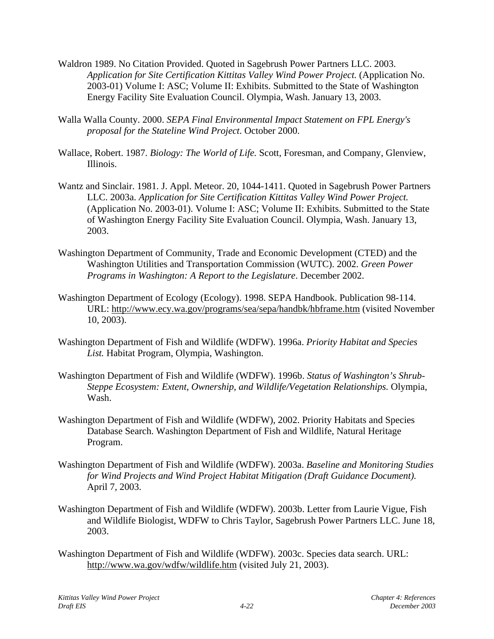- Waldron 1989. No Citation Provided. Quoted in Sagebrush Power Partners LLC. 2003. *Application for Site Certification Kittitas Valley Wind Power Project.* (Application No. 2003-01) Volume I: ASC; Volume II: Exhibits. Submitted to the State of Washington Energy Facility Site Evaluation Council. Olympia, Wash. January 13, 2003.
- Walla Walla County. 2000. *SEPA Final Environmental Impact Statement on FPL Energy's proposal for the Stateline Wind Project*. October 2000.
- Wallace, Robert. 1987. *Biology: The World of Life.* Scott, Foresman, and Company, Glenview, Illinois.
- Wantz and Sinclair. 1981. J. Appl. Meteor. 20, 1044-1411. Quoted in Sagebrush Power Partners LLC. 2003a. *Application for Site Certification Kittitas Valley Wind Power Project.* (Application No. 2003-01). Volume I: ASC; Volume II: Exhibits. Submitted to the State of Washington Energy Facility Site Evaluation Council. Olympia, Wash. January 13, 2003.
- Washington Department of Community, Trade and Economic Development (CTED) and the Washington Utilities and Transportation Commission (WUTC). 2002. *Green Power Programs in Washington: A Report to the Legislature*. December 2002.
- Washington Department of Ecology (Ecology). 1998. SEPA Handbook. Publication 98-114. URL: http://www.ecy.wa.gov/programs/sea/sepa/handbk/hbframe.htm (visited November 10, 2003).
- Washington Department of Fish and Wildlife (WDFW). 1996a. *Priority Habitat and Species List.* Habitat Program, Olympia, Washington.
- Washington Department of Fish and Wildlife (WDFW). 1996b. *Status of Washington's Shrub-Steppe Ecosystem: Extent, Ownership, and Wildlife/Vegetation Relationships.* Olympia, Wash.
- Washington Department of Fish and Wildlife (WDFW), 2002. Priority Habitats and Species Database Search. Washington Department of Fish and Wildlife, Natural Heritage Program.
- Washington Department of Fish and Wildlife (WDFW). 2003a. *Baseline and Monitoring Studies for Wind Projects and Wind Project Habitat Mitigation (Draft Guidance Document).* April 7, 2003.
- Washington Department of Fish and Wildlife (WDFW). 2003b. Letter from Laurie Vigue, Fish and Wildlife Biologist, WDFW to Chris Taylor, Sagebrush Power Partners LLC. June 18, 2003.
- Washington Department of Fish and Wildlife (WDFW). 2003c. Species data search. URL: http://www.wa.gov/wdfw/wildlife.htm (visited July 21, 2003).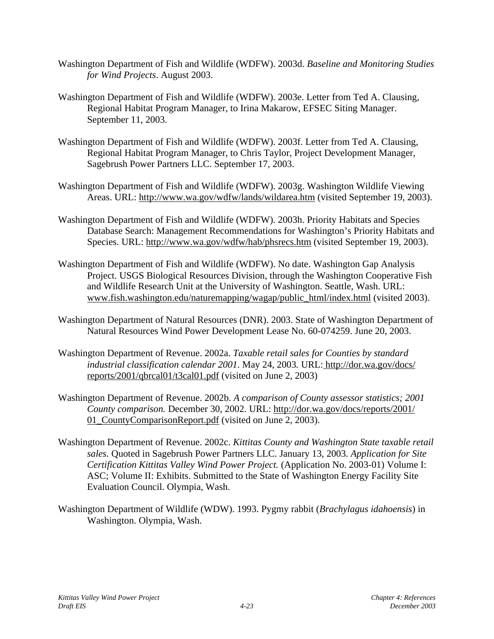- Washington Department of Fish and Wildlife (WDFW). 2003d. *Baseline and Monitoring Studies for Wind Projects*. August 2003.
- Washington Department of Fish and Wildlife (WDFW). 2003e. Letter from Ted A. Clausing, Regional Habitat Program Manager, to Irina Makarow, EFSEC Siting Manager. September 11, 2003.
- Washington Department of Fish and Wildlife (WDFW). 2003f. Letter from Ted A. Clausing, Regional Habitat Program Manager, to Chris Taylor, Project Development Manager, Sagebrush Power Partners LLC. September 17, 2003.
- Washington Department of Fish and Wildlife (WDFW). 2003g. Washington Wildlife Viewing Areas. URL: http://www.wa.gov/wdfw/lands/wildarea.htm (visited September 19, 2003).
- Washington Department of Fish and Wildlife (WDFW). 2003h. Priority Habitats and Species Database Search: Management Recommendations for Washington's Priority Habitats and Species. URL: http://www.wa.gov/wdfw/hab/phsrecs.htm (visited September 19, 2003).
- Washington Department of Fish and Wildlife (WDFW). No date. Washington Gap Analysis Project. USGS Biological Resources Division, through the Washington Cooperative Fish and Wildlife Research Unit at the University of Washington. Seattle, Wash. URL: www.fish.washington.edu/naturemapping/wagap/public\_html/index.html (visited 2003).
- Washington Department of Natural Resources (DNR). 2003. State of Washington Department of Natural Resources Wind Power Development Lease No. 60-074259. June 20, 2003.
- Washington Department of Revenue. 2002a. *Taxable retail sales for Counties by standard industrial classification calendar 2001*. May 24, 2003*.* URL: http://dor.wa.gov/docs/ reports/2001/qbrcal01/t3cal01.pdf (visited on June 2, 2003)
- Washington Department of Revenue. 2002b. *A comparison of County assessor statistics; 2001 County comparison.* December 30, 2002. URL: http://dor.wa.gov/docs/reports/2001/ 01\_CountyComparisonReport.pdf (visited on June 2, 2003).
- Washington Department of Revenue. 2002c. *Kittitas County and Washington State taxable retail sales.* Quoted in Sagebrush Power Partners LLC. January 13, 2003. *Application for Site Certification Kittitas Valley Wind Power Project.* (Application No. 2003-01) Volume I: ASC; Volume II: Exhibits. Submitted to the State of Washington Energy Facility Site Evaluation Council. Olympia, Wash.
- Washington Department of Wildlife (WDW). 1993. Pygmy rabbit (*Brachylagus idahoensis*) in Washington. Olympia, Wash.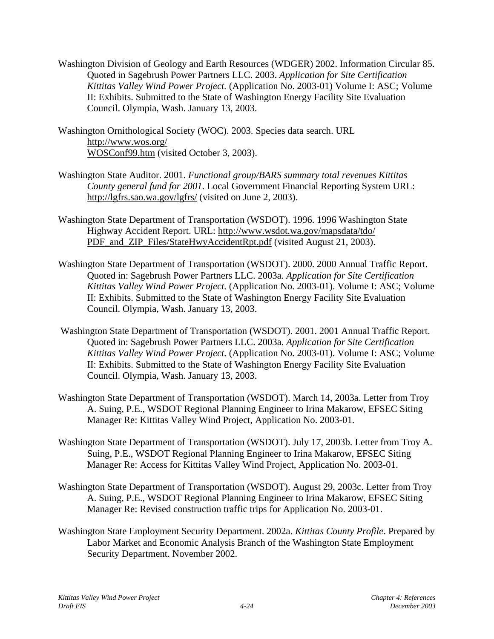- Washington Division of Geology and Earth Resources (WDGER) 2002. Information Circular 85. Quoted in Sagebrush Power Partners LLC. 2003. *Application for Site Certification Kittitas Valley Wind Power Project.* (Application No. 2003-01) Volume I: ASC; Volume II: Exhibits. Submitted to the State of Washington Energy Facility Site Evaluation Council. Olympia, Wash. January 13, 2003.
- Washington Ornithological Society (WOC). 2003. Species data search. URL http://www.wos.org/ WOSConf99.htm (visited October 3, 2003).
- Washington State Auditor. 2001. *Functional group/BARS summary total revenues Kittitas County general fund for 2001*. Local Government Financial Reporting System URL: http://lgfrs.sao.wa.gov/lgfrs/ (visited on June 2, 2003).
- Washington State Department of Transportation (WSDOT). 1996. 1996 Washington State Highway Accident Report. URL: http://www.wsdot.wa.gov/mapsdata/tdo/ PDF and ZIP Files/StateHwyAccidentRpt.pdf (visited August 21, 2003).
- Washington State Department of Transportation (WSDOT). 2000. 2000 Annual Traffic Report. Quoted in: Sagebrush Power Partners LLC. 2003a. *Application for Site Certification Kittitas Valley Wind Power Project.* (Application No. 2003-01). Volume I: ASC; Volume II: Exhibits. Submitted to the State of Washington Energy Facility Site Evaluation Council. Olympia, Wash. January 13, 2003.
- Washington State Department of Transportation (WSDOT). 2001. 2001 Annual Traffic Report. Quoted in: Sagebrush Power Partners LLC. 2003a. *Application for Site Certification Kittitas Valley Wind Power Project.* (Application No. 2003-01). Volume I: ASC; Volume II: Exhibits. Submitted to the State of Washington Energy Facility Site Evaluation Council. Olympia, Wash. January 13, 2003.
- Washington State Department of Transportation (WSDOT). March 14, 2003a. Letter from Troy A. Suing, P.E., WSDOT Regional Planning Engineer to Irina Makarow, EFSEC Siting Manager Re: Kittitas Valley Wind Project, Application No. 2003-01.
- Washington State Department of Transportation (WSDOT). July 17, 2003b. Letter from Troy A. Suing, P.E., WSDOT Regional Planning Engineer to Irina Makarow, EFSEC Siting Manager Re: Access for Kittitas Valley Wind Project, Application No. 2003-01.
- Washington State Department of Transportation (WSDOT). August 29, 2003c. Letter from Troy A. Suing, P.E., WSDOT Regional Planning Engineer to Irina Makarow, EFSEC Siting Manager Re: Revised construction traffic trips for Application No. 2003-01.
- Washington State Employment Security Department. 2002a. *Kittitas County Profile*. Prepared by Labor Market and Economic Analysis Branch of the Washington State Employment Security Department. November 2002.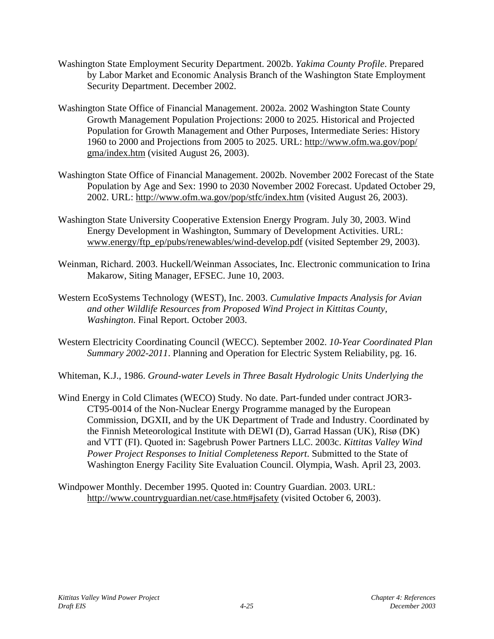- Washington State Employment Security Department. 2002b. *Yakima County Profile*. Prepared by Labor Market and Economic Analysis Branch of the Washington State Employment Security Department. December 2002.
- Washington State Office of Financial Management. 2002a. 2002 Washington State County Growth Management Population Projections: 2000 to 2025. Historical and Projected Population for Growth Management and Other Purposes, Intermediate Series: History 1960 to 2000 and Projections from 2005 to 2025. URL: http://www.ofm.wa.gov/pop/ gma/index.htm (visited August 26, 2003).
- Washington State Office of Financial Management. 2002b. November 2002 Forecast of the State Population by Age and Sex: 1990 to 2030 November 2002 Forecast. Updated October 29, 2002. URL: http://www.ofm.wa.gov/pop/stfc/index.htm (visited August 26, 2003).
- Washington State University Cooperative Extension Energy Program. July 30, 2003. Wind Energy Development in Washington, Summary of Development Activities. URL: www.energy/ftp\_ep/pubs/renewables/wind-develop.pdf (visited September 29, 2003).
- Weinman, Richard. 2003. Huckell/Weinman Associates, Inc. Electronic communication to Irina Makarow, Siting Manager, EFSEC. June 10, 2003.
- Western EcoSystems Technology (WEST), Inc. 2003. *Cumulative Impacts Analysis for Avian and other Wildlife Resources from Proposed Wind Project in Kittitas County, Washington*. Final Report. October 2003.
- Western Electricity Coordinating Council (WECC). September 2002. *10-Year Coordinated Plan Summary 2002-2011*. Planning and Operation for Electric System Reliability, pg. 16.
- Whiteman, K.J., 1986. *Ground-water Levels in Three Basalt Hydrologic Units Underlying the*
- Wind Energy in Cold Climates (WECO) Study. No date. Part-funded under contract JOR3- CT95-0014 of the Non-Nuclear Energy Programme managed by the European Commission, DGXII, and by the UK Department of Trade and Industry. Coordinated by the Finnish Meteorological Institute with DEWI (D), Garrad Hassan (UK), Risø (DK) and VTT (FI). Quoted in: Sagebrush Power Partners LLC. 2003c. *Kittitas Valley Wind Power Project Responses to Initial Completeness Report*. Submitted to the State of Washington Energy Facility Site Evaluation Council. Olympia, Wash. April 23, 2003.
- Windpower Monthly. December 1995. Quoted in: Country Guardian. 2003. URL: http://www.countryguardian.net/case.htm#jsafety (visited October 6, 2003).